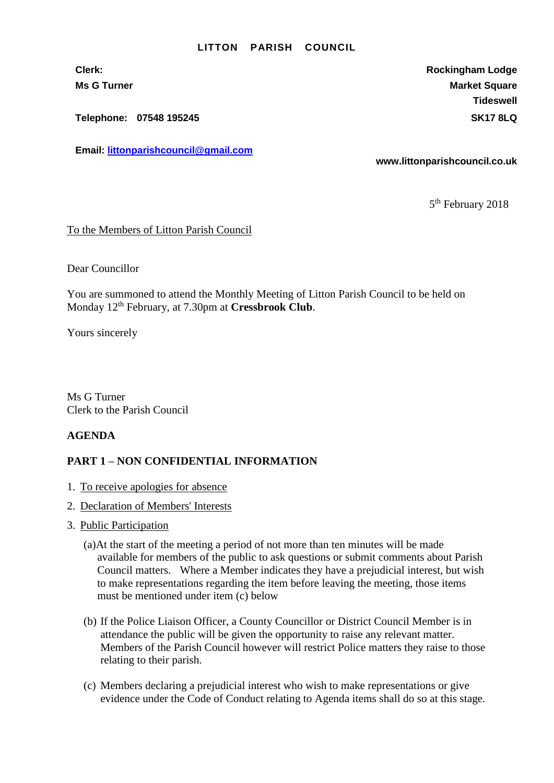## **LITTON PARISH COUNCIL**

**Telephone: 07548 195245 SK17 8LQ**

**Email: [littonparishcouncil@gmail.com](mailto:littonparishcouncil@gmail.com)**

**Clerk: Rockingham Lodge Ms G Turner Market Square** Market Square **Tideswell**

**www.littonparishcouncil.co.uk**

5<sup>th</sup> February 2018

## To the Members of Litton Parish Council

Dear Councillor

You are summoned to attend the Monthly Meeting of Litton Parish Council to be held on Monday 12th February, at 7.30pm at **Cressbrook Club**.

Yours sincerely

Ms G Turner Clerk to the Parish Council

## **AGENDA**

## **PART 1 – NON CONFIDENTIAL INFORMATION**

- 1. To receive apologies for absence
- 2. Declaration of Members' Interests
- 3. Public Participation
	- (a)At the start of the meeting a period of not more than ten minutes will be made available for members of the public to ask questions or submit comments about Parish Council matters. Where a Member indicates they have a prejudicial interest, but wish to make representations regarding the item before leaving the meeting, those items must be mentioned under item (c) below
	- (b) If the Police Liaison Officer, a County Councillor or District Council Member is in attendance the public will be given the opportunity to raise any relevant matter. Members of the Parish Council however will restrict Police matters they raise to those relating to their parish.
	- (c) Members declaring a prejudicial interest who wish to make representations or give evidence under the Code of Conduct relating to Agenda items shall do so at this stage.